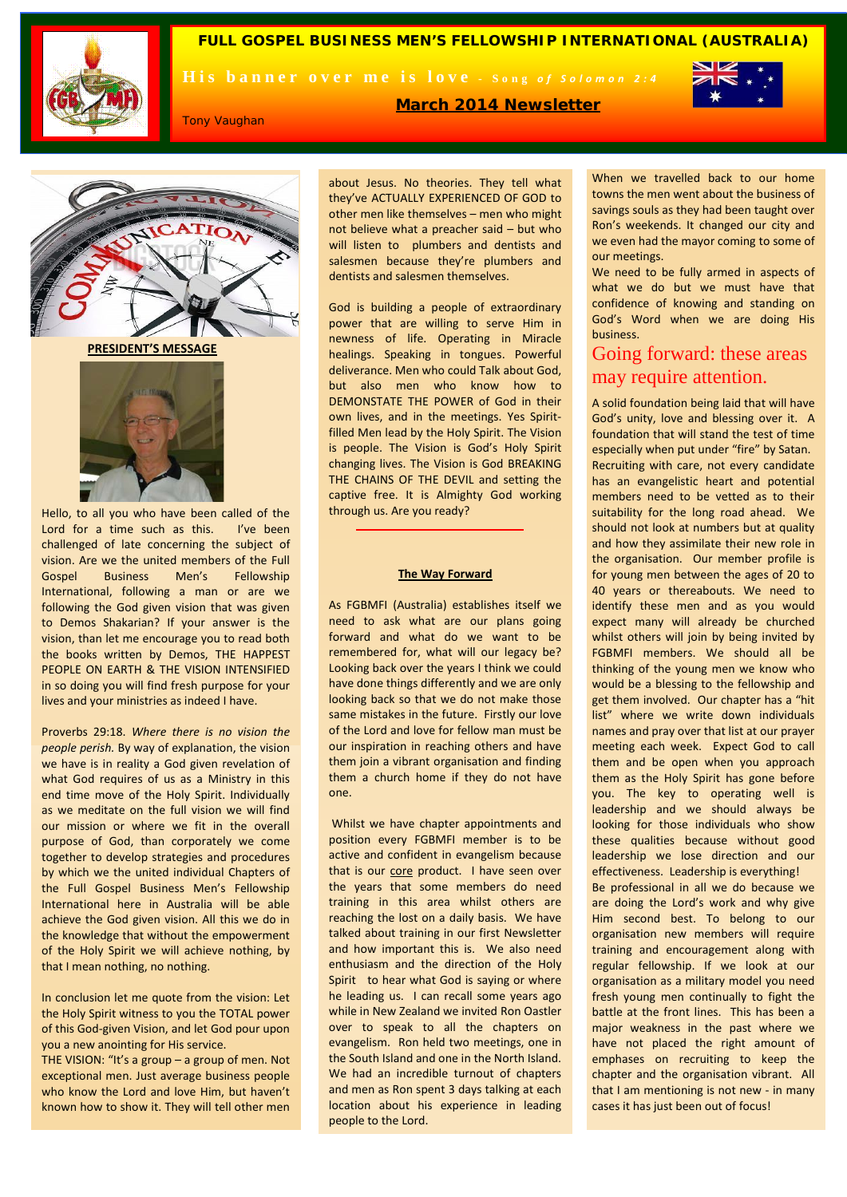

**FULL GOSPEL BUSINESS MEN'S FELLOWSHIP INTERNATIONAL (AUSTRALIA)**

His banner over me is love - Song of Solomon 2:4



Tony Vaughan

**March 2014 Newsletter**

about Jesus. No theories. They tell what they've ACTUALLY EXPERIENCED OF GOD to other men like themselves – men who might not believe what a preacher said – but who will listen to plumbers and dentists and salesmen because they're plumbers and dentists and salesmen themselves.

God is building a people of extraordinary power that are willing to serve Him in newness of life. Operating in Miracle healings. Speaking in tongues. Powerful deliverance. Men who could Talk about God, but also men who know how to DEMONSTATE THE POWER of God in their own lives, and in the meetings. Yes Spiritfilled Men lead by the Holy Spirit. The Vision is people. The Vision is God's Holy Spirit changing lives. The Vision is God BREAKING THE CHAINS OF THE DEVIL and setting the captive free. It is Almighty God working through us. Are you ready?

#### **The Way Forward**

As FGBMFI (Australia) establishes itself we need to ask what are our plans going forward and what do we want to be remembered for, what will our legacy be? Looking back over the years I think we could have done things differently and we are only looking back so that we do not make those same mistakes in the future. Firstly our love of the Lord and love for fellow man must be our inspiration in reaching others and have them join a vibrant organisation and finding them a church home if they do not have one.

Whilst we have chapter appointments and position every FGBMFI member is to be active and confident in evangelism because that is our core product. I have seen over the years that some members do need training in this area whilst others are reaching the lost on a daily basis. We have talked about training in our first Newsletter and how important this is. We also need enthusiasm and the direction of the Holy Spirit to hear what God is saying or where he leading us. I can recall some years ago while in New Zealand we invited Ron Oastler over to speak to all the chapters on evangelism. Ron held two meetings, one in the South Island and one in the North Island. We had an incredible turnout of chapters and men as Ron spent 3 days talking at each location about his experience in leading people to the Lord.

When we travelled back to our home towns the men went about the business of savings souls as they had been taught over Ron's weekends. It changed our city and we even had the mayor coming to some of our meetings.

We need to be fully armed in aspects of what we do but we must have that confidence of knowing and standing on God's Word when we are doing His business.

# Going forward: these areas may require attention.

A solid foundation being laid that will have God's unity, love and blessing over it. A foundation that will stand the test of time especially when put under "fire" by Satan. Recruiting with care, not every candidate has an evangelistic heart and potential members need to be vetted as to their suitability for the long road ahead. We should not look at numbers but at quality and how they assimilate their new role in the organisation. Our member profile is for young men between the ages of 20 to 40 years or thereabouts. We need to identify these men and as you would expect many will already be churched whilst others will join by being invited by FGBMFI members. We should all be thinking of the young men we know who would be a blessing to the fellowship and get them involved. Our chapter has a "hit list" where we write down individuals names and pray over that list at our prayer meeting each week. Expect God to call them and be open when you approach them as the Holy Spirit has gone before you. The key to operating well is leadership and we should always be looking for those individuals who show these qualities because without good leadership we lose direction and our effectiveness. Leadership is everything! Be professional in all we do because we are doing the Lord's work and why give Him second best. To belong to our organisation new members will require training and encouragement along with regular fellowship. If we look at our organisation as a military model you need fresh young men continually to fight the battle at the front lines. This has been a major weakness in the past where we have not placed the right amount of emphases on recruiting to keep the chapter and the organisation vibrant. All that I am mentioning is not new - in many cases it has just been out of focus!

 **PRESIDENT'S MESSAGE**



Hello, to all you who have been called of the Lord for a time such as this. I've been challenged of late concerning the subject of vision. Are we the united members of the Full Gospel Business Men's Fellowship International, following a man or are we following the God given vision that was given to Demos Shakarian? If your answer is the vision, than let me encourage you to read both the books written by Demos, THE HAPPEST PEOPLE ON EARTH & THE VISION INTENSIFIED in so doing you will find fresh purpose for your lives and your ministries as indeed I have.

Proverbs 29:18. *Where there is no vision the people perish.* By way of explanation, the vision we have is in reality a God given revelation of what God requires of us as a Ministry in this end time move of the Holy Spirit. Individually as we meditate on the full vision we will find our mission or where we fit in the overall purpose of God, than corporately we come together to develop strategies and procedures by which we the united individual Chapters of the Full Gospel Business Men's Fellowship International here in Australia will be able achieve the God given vision. All this we do in the knowledge that without the empowerment of the Holy Spirit we will achieve nothing, by that I mean nothing, no nothing.

In conclusion let me quote from the vision: Let the Holy Spirit witness to you the TOTAL power of this God-given Vision, and let God pour upon you a new anointing for His service.

THE VISION: "It's a group – a group of men. Not exceptional men. Just average business people who know the Lord and love Him, but haven't known how to show it. They will tell other men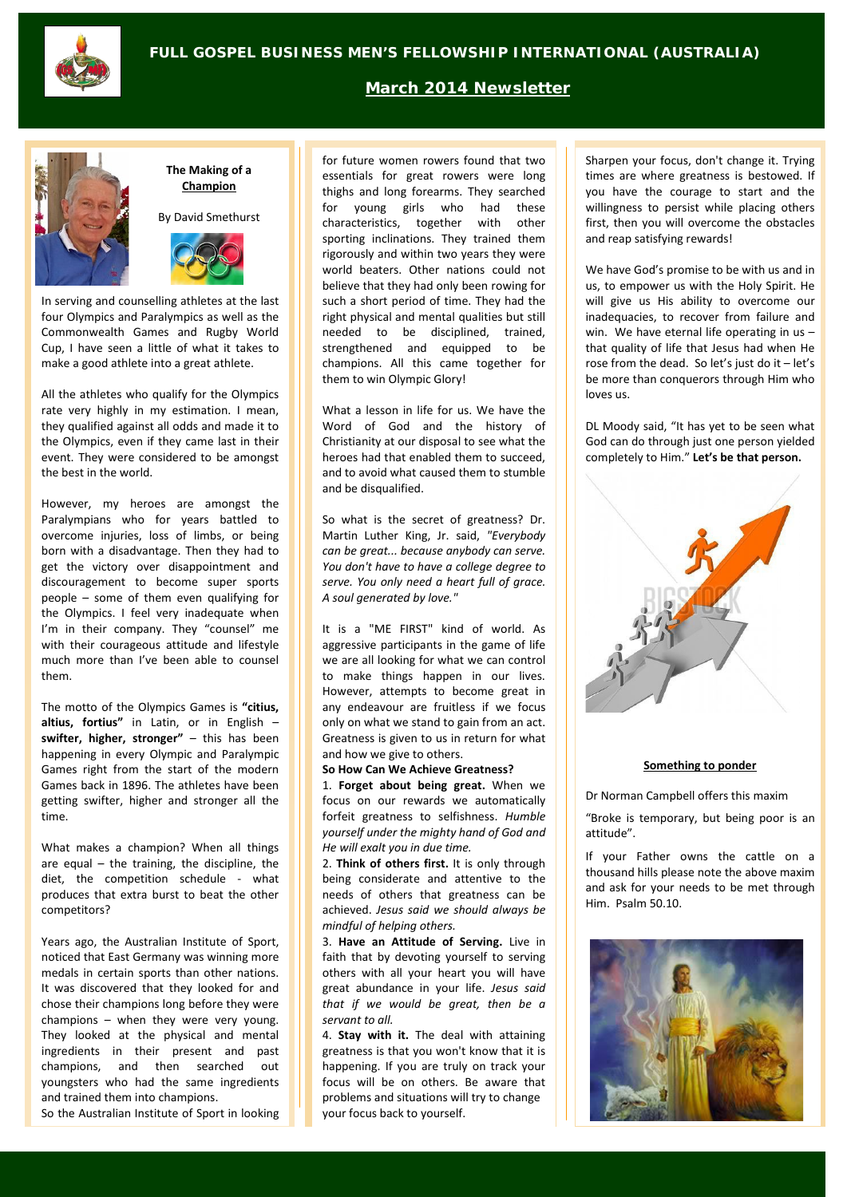

## **March 2014 Newsletter**



#### **The Making of a Champion**

By David Smethurst



In serving and counselling athletes at the last four Olympics and Paralympics as well as the Commonwealth Games and Rugby World Cup, I have seen a little of what it takes to make a good athlete into a great athlete.

All the athletes who qualify for the Olympics rate very highly in my estimation. I mean, they qualified against all odds and made it to the Olympics, even if they came last in their event. They were considered to be amongst the best in the world.

However, my heroes are amongst the Paralympians who for years battled to overcome injuries, loss of limbs, or being born with a disadvantage. Then they had to get the victory over disappointment and discouragement to become super sports people – some of them even qualifying for the Olympics. I feel very inadequate when I'm in their company. They "counsel" me with their courageous attitude and lifestyle much more than I've been able to counsel them.

The motto of the Olympics Games is **"citius, altius, fortius"** in Latin, or in English – **swifter, higher, stronger"** – this has been happening in every Olympic and Paralympic Games right from the start of the modern Games back in 1896. The athletes have been getting swifter, higher and stronger all the time.

What makes a champion? When all things are equal – the training, the discipline, the diet, the competition schedule - what produces that extra burst to beat the other competitors?

Years ago, the Australian Institute of Sport, noticed that East Germany was winning more medals in certain sports than other nations. It was discovered that they looked for and chose their champions long before they were champions – when they were very young. They looked at the physical and mental ingredients in their present and past champions, and then searched out youngsters who had the same ingredients and trained them into champions.

So the Australian Institute of Sport in looking

for future women rowers found that two essentials for great rowers were long thighs and long forearms. They searched for young girls who had these characteristics, together with other sporting inclinations. They trained them rigorously and within two years they were world beaters. Other nations could not believe that they had only been rowing for such a short period of time. They had the right physical and mental qualities but still needed to be disciplined, trained, strengthened and equipped to be champions. All this came together for them to win Olympic Glory!

What a lesson in life for us. We have the Word of God and the history of Christianity at our disposal to see what the heroes had that enabled them to succeed, and to avoid what caused them to stumble and be disqualified.

So what is the secret of greatness? Dr. Martin Luther King, Jr. said, *"Everybody can be great... because anybody can serve. You don't have to have a college degree to serve. You only need a heart full of grace. A soul generated by love."* 

It is a "ME FIRST" kind of world. As aggressive participants in the game of life we are all looking for what we can control to make things happen in our lives. However, attempts to become great in any endeavour are fruitless if we focus only on what we stand to gain from an act. Greatness is given to us in return for what and how we give to others.

**So How Can We Achieve Greatness?**

1. **Forget about being great.** When we focus on our rewards we automatically forfeit greatness to selfishness. *Humble yourself under the mighty hand of God and He will exalt you in due time.*

2. **Think of others first.** It is only through being considerate and attentive to the needs of others that greatness can be achieved. *Jesus said we should always be mindful of helping others.*

3. **Have an Attitude of Serving.** Live in faith that by devoting yourself to serving others with all your heart you will have great abundance in your life. *Jesus said that if we would be great, then be a servant to all.*

4. **Stay with it.** The deal with attaining greatness is that you won't know that it is happening. If you are truly on track your focus will be on others. Be aware that problems and situations will try to change your focus back to yourself.

Sharpen your focus, don't change it. Trying times are where greatness is bestowed. If you have the courage to start and the willingness to persist while placing others first, then you will overcome the obstacles and reap satisfying rewards!

We have God's promise to be with us and in us, to empower us with the Holy Spirit. He will give us His ability to overcome our inadequacies, to recover from failure and win. We have eternal life operating in us that quality of life that Jesus had when He rose from the dead. So let's just do it – let's be more than conquerors through Him who loves us.

DL Moody said, "It has yet to be seen what God can do through just one person yielded completely to Him." **Let's be that person.**



### **Something to ponder**

Dr Norman Campbell offers this maxim

"Broke is temporary, but being poor is an attitude".

If your Father owns the cattle on a thousand hills please note the above maxim and ask for your needs to be met through Him. Psalm 50.10.

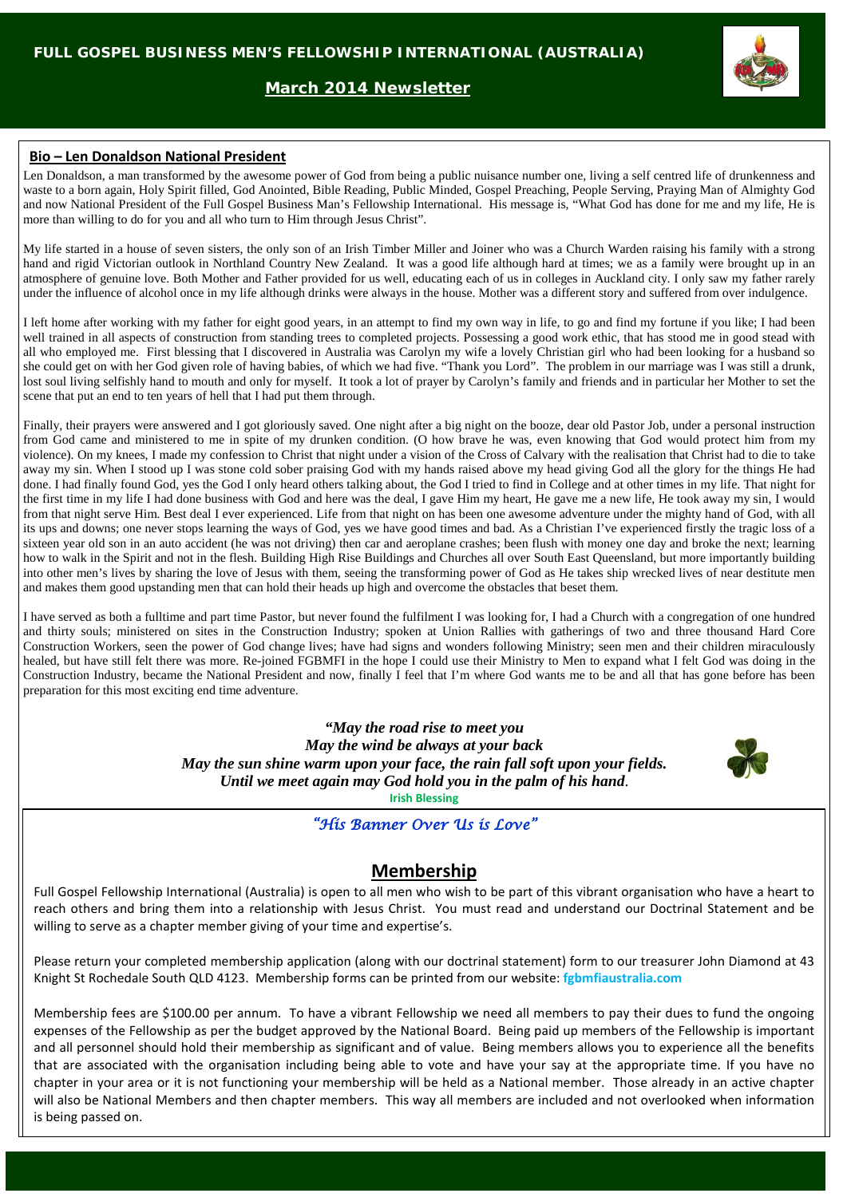## **March 2014 Newsletter**



### **Bio – Len Donaldson National President**

Len Donaldson, a man transformed by the awesome power of God from being a public nuisance number one, living a self centred life of drunkenness and waste to a born again, Holy Spirit filled, God Anointed, Bible Reading, Public Minded, Gospel Preaching, People Serving, Praying Man of Almighty God and now National President of the Full Gospel Business Man's Fellowship International. His message is, "What God has done for me and my life, He is more than willing to do for you and all who turn to Him through Jesus Christ".

My life started in a house of seven sisters, the only son of an Irish Timber Miller and Joiner who was a Church Warden raising his family with a strong hand and rigid Victorian outlook in Northland Country New Zealand. It was a good life although hard at times; we as a family were brought up in an atmosphere of genuine love. Both Mother and Father provided for us well, educating each of us in colleges in Auckland city. I only saw my father rarely under the influence of alcohol once in my life although drinks were always in the house. Mother was a different story and suffered from over indulgence.

I left home after working with my father for eight good years, in an attempt to find my own way in life, to go and find my fortune if you like; I had been well trained in all aspects of construction from standing trees to completed projects. Possessing a good work ethic, that has stood me in good stead with all who employed me. First blessing that I discovered in Australia was Carolyn my wife a lovely Christian girl who had been looking for a husband so she could get on with her God given role of having babies, of which we had five. "Thank you Lord". The problem in our marriage was I was still a drunk, lost soul living selfishly hand to mouth and only for myself. It took a lot of prayer by Carolyn's family and friends and in particular her Mother to set the scene that put an end to ten years of hell that I had put them through.

Finally, their prayers were answered and I got gloriously saved. One night after a big night on the booze, dear old Pastor Job, under a personal instruction from God came and ministered to me in spite of my drunken condition. (O how brave he was, even knowing that God would protect him from my violence). On my knees, I made my confession to Christ that night under a vision of the Cross of Calvary with the realisation that Christ had to die to take away my sin. When I stood up I was stone cold sober praising God with my hands raised above my head giving God all the glory for the things He had done. I had finally found God, yes the God I only heard others talking about, the God I tried to find in College and at other times in my life. That night for the first time in my life I had done business with God and here was the deal, I gave Him my heart, He gave me a new life, He took away my sin, I would from that night serve Him. Best deal I ever experienced. Life from that night on has been one awesome adventure under the mighty hand of God, with all its ups and downs; one never stops learning the ways of God, yes we have good times and bad. As a Christian I've experienced firstly the tragic loss of a sixteen year old son in an auto accident (he was not driving) then car and aeroplane crashes; been flush with money one day and broke the next; learning how to walk in the Spirit and not in the flesh. Building High Rise Buildings and Churches all over South East Queensland, but more importantly building into other men's lives by sharing the love of Jesus with them, seeing the transforming power of God as He takes ship wrecked lives of near destitute men and makes them good upstanding men that can hold their heads up high and overcome the obstacles that beset them.

I have served as both a fulltime and part time Pastor, but never found the fulfilment I was looking for, I had a Church with a congregation of one hundred and thirty souls; ministered on sites in the Construction Industry; spoken at Union Rallies with gatherings of two and three thousand Hard Core Construction Workers, seen the power of God change lives; have had signs and wonders following Ministry; seen men and their children miraculously healed, but have still felt there was more. Re-joined FGBMFI in the hope I could use their Ministry to Men to expand what I felt God was doing in the Construction Industry, became the National President and now, finally I feel that I'm where God wants me to be and all that has gone before has been preparation for this most exciting end time adventure.

> *"May the road rise to meet you May the wind be always at your back May the sun shine warm upon your face, the rain fall soft upon your fields. Until we meet again may God hold you in the palm of his hand*. **Irish Blessing**



*"His Banner Over Us is Love"* 

# **Membership**

Full Gospel Fellowship International (Australia) is open to all men who wish to be part of this vibrant organisation who have a heart to reach others and bring them into a relationship with Jesus Christ. You must read and understand our Doctrinal Statement and be willing to serve as a chapter member giving of your time and expertise's.

Please return your completed membership application (along with our doctrinal statement) form to our treasurer John Diamond at 43 Knight St Rochedale South QLD 4123. Membership forms can be printed from our website: **fgbmfiaustralia.com**

Membership fees are \$100.00 per annum. To have a vibrant Fellowship we need all members to pay their dues to fund the ongoing expenses of the Fellowship as per the budget approved by the National Board. Being paid up members of the Fellowship is important and all personnel should hold their membership as significant and of value. Being members allows you to experience all the benefits that are associated with the organisation including being able to vote and have your say at the appropriate time. If you have no chapter in your area or it is not functioning your membership will be held as a National member. Those already in an active chapter will also be National Members and then chapter members. This way all members are included and not overlooked when information is being passed on.